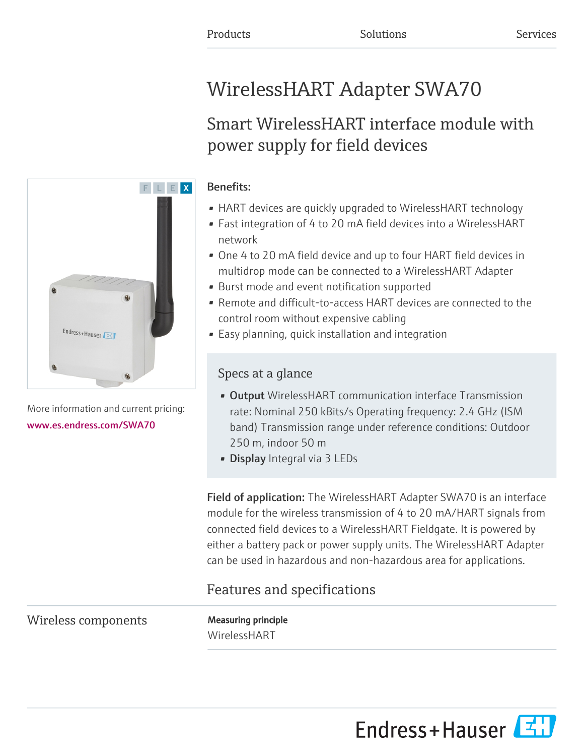# WirelessHART Adapter SWA70

# Smart WirelessHART interface module with power supply for field devices

### Benefits:

- HART devices are quickly upgraded to WirelessHART technology
- Fast integration of 4 to 20 mA field devices into a WirelessHART network
- One 4 to 20 mA field device and up to four HART field devices in multidrop mode can be connected to a WirelessHART Adapter
- Burst mode and event notification supported
- Remote and difficult-to-access HART devices are connected to the control room without expensive cabling
- Easy planning, quick installation and integration

## Specs at a glance

- Output WirelessHART communication interface Transmission rate: Nominal 250 kBits/s Operating frequency: 2.4 GHz (ISM band) Transmission range under reference conditions: Outdoor 250 m, indoor 50 m
- Display Integral via 3 LEDs

Field of application: The WirelessHART Adapter SWA70 is an interface module for the wireless transmission of 4 to 20 mA/HART signals from connected field devices to a WirelessHART Fieldgate. It is powered by either a battery pack or power supply units. The WirelessHART Adapter can be used in hazardous and non-hazardous area for applications.

# Features and specifications

Wireless components Measuring principle

[www.es.endress.com/SWA70](https://www.es.endress.com/SWA70)

WirelessHART





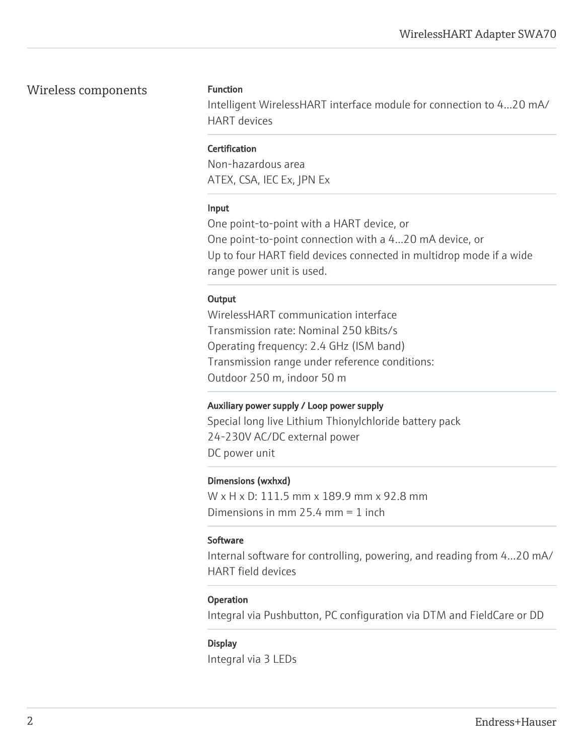#### Wireless components Function

Intelligent WirelessHART interface module for connection to 4...20 mA/ HART devices

#### **Certification**

Non-hazardous area ATEX, CSA, IEC Ex, JPN Ex

#### Input

One point-to-point with a HART device, or One point-to-point connection with a 4...20 mA device, or Up to four HART field devices connected in multidrop mode if a wide range power unit is used.

#### **Output**

WirelessHART communication interface Transmission rate: Nominal 250 kBits/s Operating frequency: 2.4 GHz (ISM band) Transmission range under reference conditions: Outdoor 250 m, indoor 50 m

#### Auxiliary power supply / Loop power supply

Special long live Lithium Thionylchloride battery pack 24-230V AC/DC external power DC power unit

#### Dimensions (wxhxd)

W x H x D: 111.5 mm x 189.9 mm x 92.8 mm Dimensions in mm 25.4 mm = 1 inch

#### Software

Internal software for controlling, powering, and reading from 4…20 mA/ HART field devices

#### **Operation**

Integral via Pushbutton, PC configuration via DTM and FieldCare or DD

#### **Display**

Integral via 3 LEDs